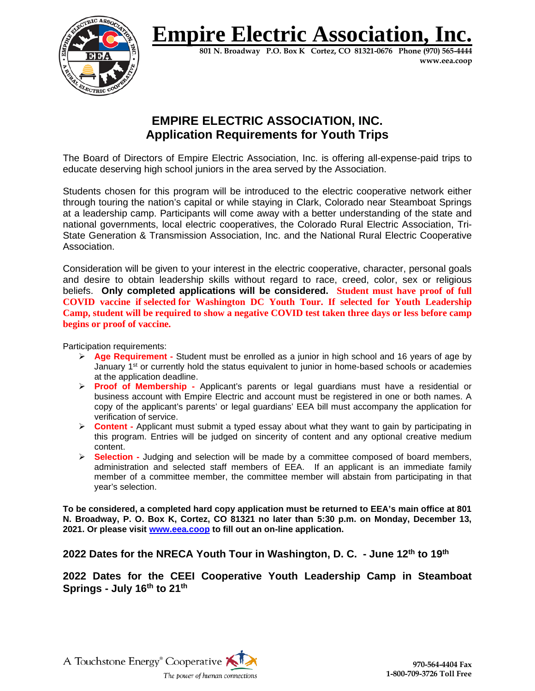

## **Empire Electric Association.**

**801 N. Broadway P.O. Box K Cortez, CO 81321-0676 Phone (970) 565-4444 www.eea.coop**

## **EMPIRE ELECTRIC ASSOCIATION, INC. Application Requirements for Youth Trips**

The Board of Directors of Empire Electric Association, Inc. is offering all-expense-paid trips to educate deserving high school juniors in the area served by the Association.

Students chosen for this program will be introduced to the electric cooperative network either through touring the nation's capital or while staying in Clark, Colorado near Steamboat Springs at a leadership camp. Participants will come away with a better understanding of the state and national governments, local electric cooperatives, the Colorado Rural Electric Association, Tri-State Generation & Transmission Association, Inc. and the National Rural Electric Cooperative Association.

Consideration will be given to your interest in the electric cooperative, character, personal goals and desire to obtain leadership skills without regard to race, creed, color, sex or religious beliefs. **Only completed applications will be considered. Student must have proof of full COVID vaccine if selected for Washington DC Youth Tour. If selected for Youth Leadership Camp, student will be required to show a negative COVID test taken three days or less before camp begins or proof of vaccine.**

Participation requirements:

- **Age Requirement -** Student must be enrolled as a junior in high school and 16 years of age by January  $1<sup>st</sup>$  or currently hold the status equivalent to junior in home-based schools or academies at the application deadline.
- **Proof of Membership -** Applicant's parents or legal guardians must have a residential or business account with Empire Electric and account must be registered in one or both names. A copy of the applicant's parents' or legal guardians' EEA bill must accompany the application for verification of service.
- **Content -** Applicant must submit a typed essay about what they want to gain by participating in this program. Entries will be judged on sincerity of content and any optional creative medium content.
- **Selection -** Judging and selection will be made by a committee composed of board members, administration and selected staff members of EEA. If an applicant is an immediate family member of a committee member, the committee member will abstain from participating in that year's selection.

**To be considered, a completed hard copy application must be returned to EEA's main office at 801 N. Broadway, P. O. Box K, Cortez, CO 81321 no later than 5:30 p.m. on Monday, December 13, 2021. Or please visit [www.eea.coop](http://www.eea.coop/) to fill out an on-line application.**

**2022 Dates for the NRECA Youth Tour in Washington, D. C. - June 12th to 19th**

**2022 Dates for the CEEI Cooperative Youth Leadership Camp in Steamboat Springs - July 16th to 21th**